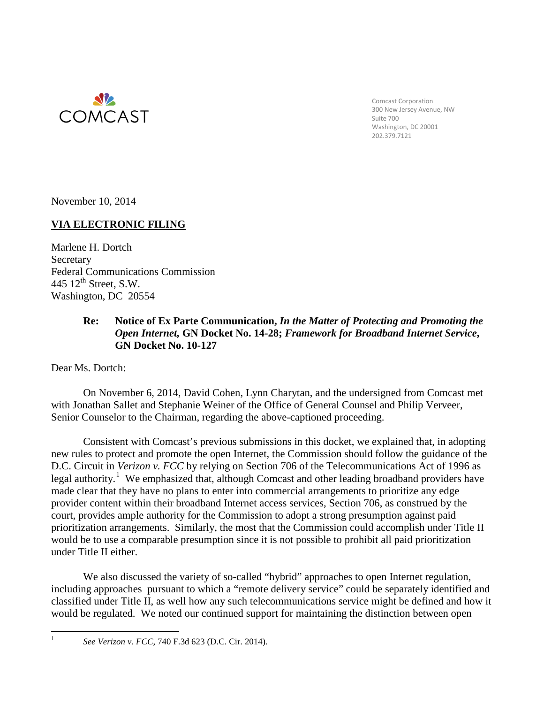

Comcast Corporation 300 New Jersey Avenue, NW Suite 700 Washington, DC 20001 202.379.7121

November 10, 2014

## **VIA ELECTRONIC FILING**

Marlene H. Dortch **Secretary** Federal Communications Commission 445  $12^{\text{th}}$  Street, S.W. Washington, DC 20554

## **Re: Notice of Ex Parte Communication,** *In the Matter of Protecting and Promoting the Open Internet,* **GN Docket No. 14-28;** *Framework for Broadband Internet Service***, GN Docket No. 10-127**

Dear Ms. Dortch:

On November 6, 2014, David Cohen, Lynn Charytan, and the undersigned from Comcast met with Jonathan Sallet and Stephanie Weiner of the Office of General Counsel and Philip Verveer, Senior Counselor to the Chairman, regarding the above-captioned proceeding.

Consistent with Comcast's previous submissions in this docket, we explained that, in adopting new rules to protect and promote the open Internet, the Commission should follow the guidance of the D.C. Circuit in *Verizon v. FCC* by relying on Section 706 of the Telecommunications Act of 1996 as legal authority.<sup>[1](#page-0-0)</sup> We emphasized that, although Comcast and other leading broadband providers have made clear that they have no plans to enter into commercial arrangements to prioritize any edge provider content within their broadband Internet access services, Section 706, as construed by the court, provides ample authority for the Commission to adopt a strong presumption against paid prioritization arrangements. Similarly, the most that the Commission could accomplish under Title II would be to use a comparable presumption since it is not possible to prohibit all paid prioritization under Title II either.

We also discussed the variety of so-called "hybrid" approaches to open Internet regulation, including approaches pursuant to which a "remote delivery service" could be separately identified and classified under Title II, as well how any such telecommunications service might be defined and how it would be regulated. We noted our continued support for maintaining the distinction between open

<span id="page-0-0"></span>

 <sup>1</sup> *See Verizon v. FCC*, 740 F.3d 623 (D.C. Cir. 2014).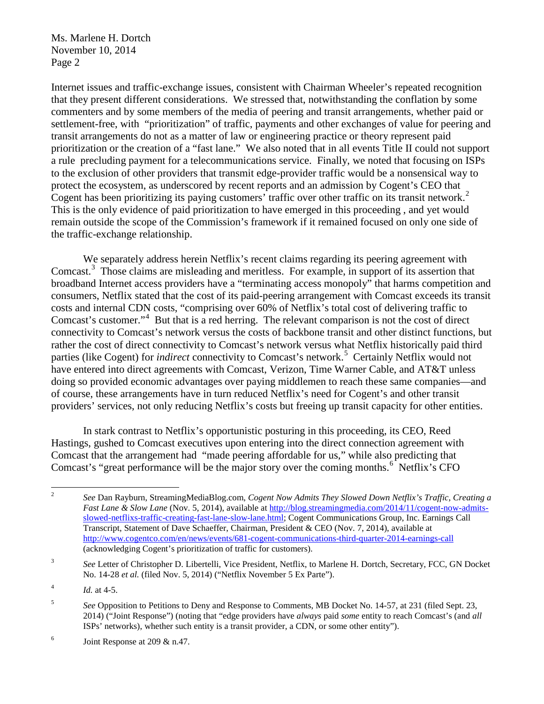Internet issues and traffic-exchange issues, consistent with Chairman Wheeler's repeated recognition that they present different considerations. We stressed that, notwithstanding the conflation by some commenters and by some members of the media of peering and transit arrangements, whether paid or settlement-free, with "prioritization" of traffic, payments and other exchanges of value for peering and transit arrangements do not as a matter of law or engineering practice or theory represent paid prioritization or the creation of a "fast lane." We also noted that in all events Title II could not support a rule precluding payment for a telecommunications service. Finally, we noted that focusing on ISPs to the exclusion of other providers that transmit edge-provider traffic would be a nonsensical way to protect the ecosystem, as underscored by recent reports and an admission by Cogent's CEO that Cogent has been prioritizing its paying customers' traffic over other traffic on its transit network.<sup>[2](#page-1-0)</sup> This is the only evidence of paid prioritization to have emerged in this proceeding , and yet would remain outside the scope of the Commission's framework if it remained focused on only one side of the traffic-exchange relationship.

We separately address herein Netflix's recent claims regarding its peering agreement with Comcast.<sup>[3](#page-1-1)</sup> Those claims are misleading and meritless. For example, in support of its assertion that broadband Internet access providers have a "terminating access monopoly" that harms competition and consumers, Netflix stated that the cost of its paid-peering arrangement with Comcast exceeds its transit costs and internal CDN costs, "comprising over 60% of Netflix's total cost of delivering traffic to Comcast's customer."[4](#page-1-2) But that is a red herring. The relevant comparison is not the cost of direct connectivity to Comcast's network versus the costs of backbone transit and other distinct functions, but rather the cost of direct connectivity to Comcast's network versus what Netflix historically paid third parties (like Cogent) for *indirect* connectivity to Comcast's network.<sup>[5](#page-1-3)</sup> Certainly Netflix would not have entered into direct agreements with Comcast, Verizon, Time Warner Cable, and AT&T unless doing so provided economic advantages over paying middlemen to reach these same companies—and of course, these arrangements have in turn reduced Netflix's need for Cogent's and other transit providers' services, not only reducing Netflix's costs but freeing up transit capacity for other entities.

In stark contrast to Netflix's opportunistic posturing in this proceeding, its CEO, Reed Hastings, gushed to Comcast executives upon entering into the direct connection agreement with Comcast that the arrangement had "made peering affordable for us," while also predicting that Comcast's "great performance will be the major story over the coming months.<sup>[6](#page-1-4)</sup> Netflix's CFO

<span id="page-1-0"></span> <sup>2</sup> *See* Dan Rayburn, StreamingMediaBlog.com, *Cogent Now Admits They Slowed Down Netflix's Traffic, Creating a Fast Lane & Slow Lane* (Nov. 5, 2014), available at [http://blog.streamingmedia.com/2014/11/cogent-now-admits](http://blog.streamingmedia.com/2014/11/cogent-now-admits-slowed-netflixs-traffic-creating-fast-lane-slow-lane.html)[slowed-netflixs-traffic-creating-fast-lane-slow-lane.html;](http://blog.streamingmedia.com/2014/11/cogent-now-admits-slowed-netflixs-traffic-creating-fast-lane-slow-lane.html) Cogent Communications Group, Inc. Earnings Call Transcript, Statement of Dave Schaeffer, Chairman, President & CEO (Nov. 7, 2014), available at <http://www.cogentco.com/en/news/events/681-cogent-communications-third-quarter-2014-earnings-call> (acknowledging Cogent's prioritization of traffic for customers).

<span id="page-1-1"></span><sup>&</sup>lt;sup>3</sup> See Letter of Christopher D. Libertelli, Vice President, Netflix, to Marlene H. Dortch, Secretary, FCC, GN Docket No. 14-28 *et al.* (filed Nov. 5, 2014) ("Netflix November 5 Ex Parte").

<span id="page-1-2"></span> $^{4}$  *Id.* at 4-5.

<span id="page-1-3"></span><sup>5</sup> *See* Opposition to Petitions to Deny and Response to Comments, MB Docket No. 14-57, at 231 (filed Sept. 23, 2014) ("Joint Response") (noting that "edge providers have *always* paid *some* entity to reach Comcast's (and *all* ISPs' networks), whether such entity is a transit provider, a CDN, or some other entity").

<span id="page-1-4"></span> $^6$  Joint Response at 209 & n.47.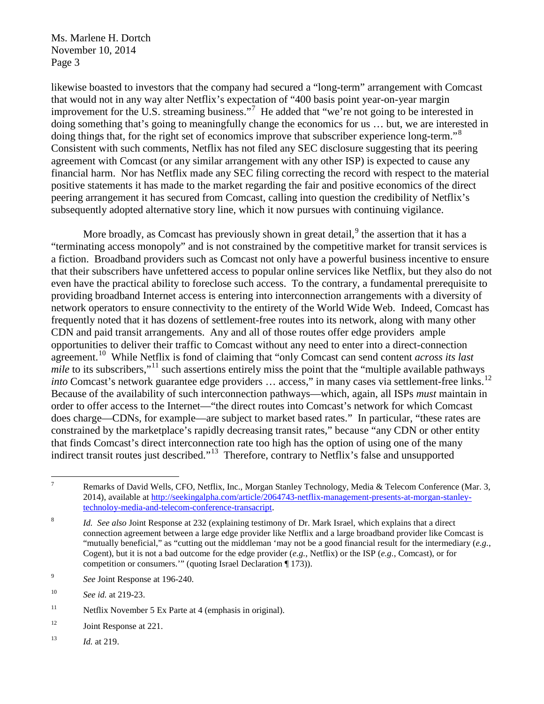likewise boasted to investors that the company had secured a "long-term" arrangement with Comcast that would not in any way alter Netflix's expectation of "400 basis point year-on-year margin improvement for the U.S. streaming business."<sup>[7](#page-2-0)</sup> He added that "we're not going to be interested in doing something that's going to meaningfully change the economics for us … but, we are interested in doing things that, for the right set of economics improve that subscriber experience long-term."<sup>[8](#page-2-1)</sup> Consistent with such comments, Netflix has not filed any SEC disclosure suggesting that its peering agreement with Comcast (or any similar arrangement with any other ISP) is expected to cause any financial harm. Nor has Netflix made any SEC filing correcting the record with respect to the material positive statements it has made to the market regarding the fair and positive economics of the direct peering arrangement it has secured from Comcast, calling into question the credibility of Netflix's subsequently adopted alternative story line, which it now pursues with continuing vigilance.

More broadly, as Comcast has previously shown in great detail,  $9$  the assertion that it has a "terminating access monopoly" and is not constrained by the competitive market for transit services is a fiction. Broadband providers such as Comcast not only have a powerful business incentive to ensure that their subscribers have unfettered access to popular online services like Netflix, but they also do not even have the practical ability to foreclose such access. To the contrary, a fundamental prerequisite to providing broadband Internet access is entering into interconnection arrangements with a diversity of network operators to ensure connectivity to the entirety of the World Wide Web. Indeed, Comcast has frequently noted that it has dozens of settlement-free routes into its network, along with many other CDN and paid transit arrangements. Any and all of those routes offer edge providers ample opportunities to deliver their traffic to Comcast without any need to enter into a direct-connection agreement.[10](#page-2-3) While Netflix is fond of claiming that "only Comcast can send content *across its last mile* to its subscribers,"<sup>[11](#page-2-4)</sup> such assertions entirely miss the point that the "multiple available pathways" *into* Comcast's network guarantee edge providers ... access," in many cases via settlement-free links.<sup>12</sup> Because of the availability of such interconnection pathways—which, again, all ISPs *must* maintain in order to offer access to the Internet—"the direct routes into Comcast's network for which Comcast does charge—CDNs, for example—are subject to market based rates." In particular, "these rates are constrained by the marketplace's rapidly decreasing transit rates," because "any CDN or other entity that finds Comcast's direct interconnection rate too high has the option of using one of the many indirect transit routes just described."<sup>13</sup> Therefore, contrary to Netflix's false and unsupported

<span id="page-2-0"></span><sup>&</sup>lt;sup>7</sup> Remarks of David Wells, CFO, Netflix, Inc., Morgan Stanley Technology, Media & Telecom Conference (Mar. 3, 2014), available at [http://seekingalpha.com/article/2064743-netflix-management-presents-at-morgan-stanley](http://seekingalpha.com/article/2064743-netflix-management-presents-at-morgan-stanley-technoloy-media-and-telecom-conference-transacript)[technoloy-media-and-telecom-conference-transacript.](http://seekingalpha.com/article/2064743-netflix-management-presents-at-morgan-stanley-technoloy-media-and-telecom-conference-transacript)

<span id="page-2-1"></span><sup>8</sup> *Id. See also* Joint Response at 232 (explaining testimony of Dr. Mark Israel, which explains that a direct connection agreement between a large edge provider like Netflix and a large broadband provider like Comcast is "mutually beneficial," as "cutting out the middleman 'may not be a good financial result for the intermediary (*e.g.*, Cogent), but it is not a bad outcome for the edge provider (*e.g.*, Netflix) or the ISP (*e.g.*, Comcast), or for competition or consumers.'" (quoting Israel Declaration ¶ 173)).

<span id="page-2-2"></span><sup>9</sup> *See* Joint Response at 196-240.

<span id="page-2-3"></span><sup>10</sup> *See id.* at 219-23.

<span id="page-2-4"></span><sup>&</sup>lt;sup>11</sup> Netflix November 5 Ex Parte at 4 (emphasis in original).

<span id="page-2-5"></span><sup>&</sup>lt;sup>12</sup> Joint Response at 221.

<span id="page-2-6"></span><sup>13</sup> *Id.* at 219.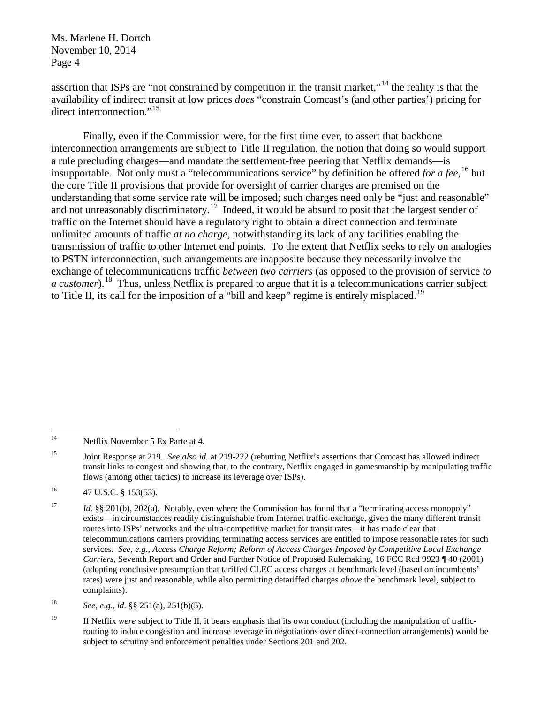assertion that ISPs are "not constrained by competition in the transit market,"[14](#page-3-0) the reality is that the availability of indirect transit at low prices *does* "constrain Comcast's (and other parties') pricing for direct interconnection."<sup>[15](#page-3-1)</sup>

Finally, even if the Commission were, for the first time ever, to assert that backbone interconnection arrangements are subject to Title II regulation, the notion that doing so would support a rule precluding charges—and mandate the settlement-free peering that Netflix demands—is insupportable. Not only must a "telecommunications service" by definition be offered *for a fee*, [16](#page-3-2) but the core Title II provisions that provide for oversight of carrier charges are premised on the understanding that some service rate will be imposed; such charges need only be "just and reasonable" and not unreasonably discriminatory.<sup>17</sup> Indeed, it would be absurd to posit that the largest sender of traffic on the Internet should have a regulatory right to obtain a direct connection and terminate unlimited amounts of traffic *at no charge*, notwithstanding its lack of any facilities enabling the transmission of traffic to other Internet end points. To the extent that Netflix seeks to rely on analogies to PSTN interconnection, such arrangements are inapposite because they necessarily involve the exchange of telecommunications traffic *between two carriers* (as opposed to the provision of service *to a customer*). [18](#page-3-4) Thus, unless Netflix is prepared to argue that it is a telecommunications carrier subject to Title II, its call for the imposition of a "bill and keep" regime is entirely misplaced.<sup>[19](#page-3-5)</sup>

<span id="page-3-0"></span><sup>&</sup>lt;sup>14</sup> Netflix November 5 Ex Parte at 4.

<span id="page-3-1"></span><sup>15</sup> Joint Response at 219. *See also id.* at 219-222 (rebutting Netflix's assertions that Comcast has allowed indirect transit links to congest and showing that, to the contrary, Netflix engaged in gamesmanship by manipulating traffic flows (among other tactics) to increase its leverage over ISPs).

<span id="page-3-2"></span> $^{16}$  47 U.S.C. § 153(53).

<span id="page-3-3"></span><sup>&</sup>lt;sup>17</sup> *Id.* §§ 201(b), 202(a). Notably, even where the Commission has found that a "terminating access monopoly" exists—in circumstances readily distinguishable from Internet traffic-exchange, given the many different transit routes into ISPs' networks and the ultra-competitive market for transit rates—it has made clear that telecommunications carriers providing terminating access services are entitled to impose reasonable rates for such services. *See, e.g.*, *Access Charge Reform; Reform of Access Charges Imposed by Competitive Local Exchange Carriers*, Seventh Report and Order and Further Notice of Proposed Rulemaking, 16 FCC Rcd 9923 ¶ 40 (2001) (adopting conclusive presumption that tariffed CLEC access charges at benchmark level (based on incumbents' rates) were just and reasonable, while also permitting detariffed charges *above* the benchmark level, subject to complaints).

<span id="page-3-4"></span><sup>18</sup> *See, e.g.*, *id.* §§ 251(a), 251(b)(5).

<span id="page-3-5"></span><sup>&</sup>lt;sup>19</sup> If Netflix *were* subject to Title II, it bears emphasis that its own conduct (including the manipulation of trafficrouting to induce congestion and increase leverage in negotiations over direct-connection arrangements) would be subject to scrutiny and enforcement penalties under Sections 201 and 202.